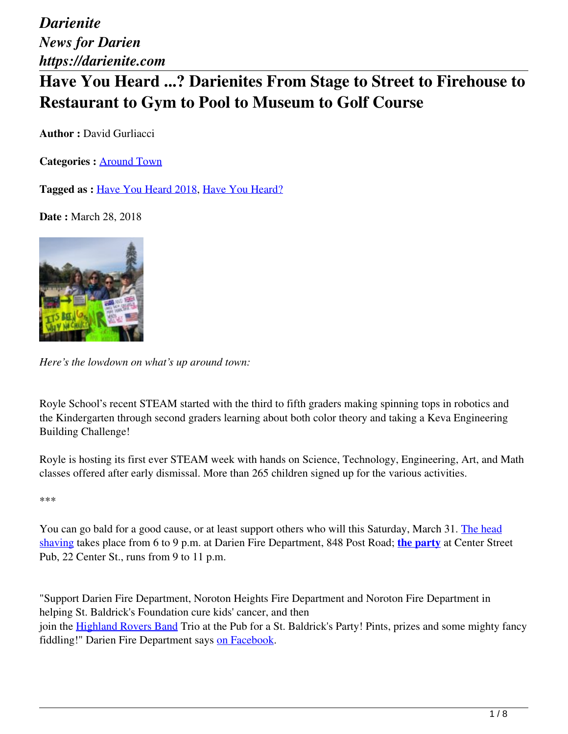*Darienite News for Darien https://darienite.com*

## **Have You Heard ...? Darienites From Stage to Street to Firehouse to Restaurant to Gym to Pool to Museum to Golf Course**

**Author :** David Gurliacci

**Categories :** [Around Town](https://darienite.com/category/news/around-town)

**Tagged as :** Have You Heard 2018, Have You Heard?

**Date : March 28, 2018** 



*Here's the lowdown on what's up around town:*

Royle School's recent STEAM started with the third to fifth graders making spinning tops in robotics and the Kindergarten through second graders learning about both color theory and taking a Keva Engineering Building Challenge!

Royle is hosting its first ever STEAM week with hands on Science, Technology, Engineering, Art, and Math classes offered after early dismissal. More than 265 children signed up for the various activities.

\*\*\*

You can go bald for a good cause, or at least support others who will this Saturday, March 31. The head shaving takes place from 6 to 9 p.m. at Darien Fire Department, 848 Post Road; **the party** at Center Street Pub, 22 Center St., runs from 9 to 11 p.m.

"Support Darien Fire Department, Noroton Heights Fire Department and Noroton Fire Department in helping St. Baldrick's Foundation cure kids' cancer, and then join the Highland Rovers Band Trio at the Pub for a St. Baldrick's Party! Pints, prizes and some mighty fancy fiddling!" Darien Fire Department says on Facebook.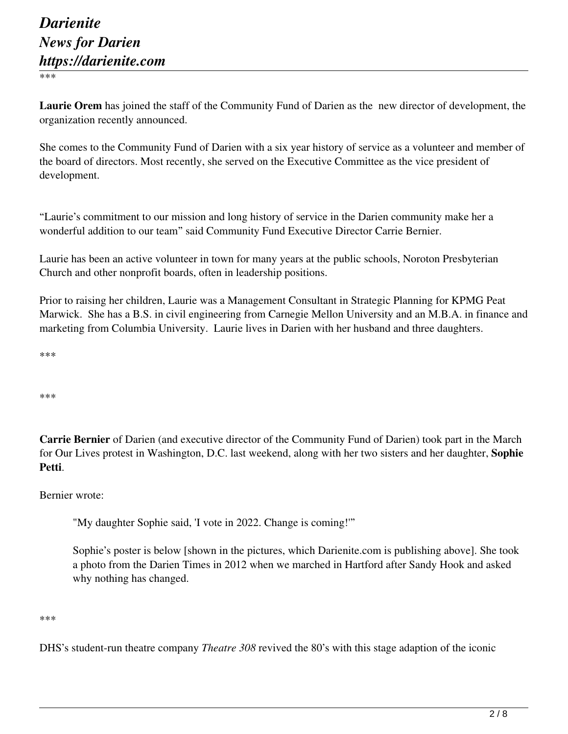\*\*\*

**Laurie Orem** has joined the staff of the Community Fund of Darien as the new director of development, the organization recently announced.

She comes to the Community Fund of Darien with a six year history of service as a volunteer and member of the board of directors. Most recently, she served on the Executive Committee as the vice president of development.

"Laurie's commitment to our mission and long history of service in the Darien community make her a wonderful addition to our team" said Community Fund Executive Director Carrie Bernier.

Laurie has been an active volunteer in town for many years at the public schools, Noroton Presbyterian Church and other nonprofit boards, often in leadership positions.

Prior to raising her children, Laurie was a Management Consultant in Strategic Planning for KPMG Peat Marwick. She has a B.S. in civil engineering from Carnegie Mellon University and an M.B.A. in finance and marketing from Columbia University. Laurie lives in Darien with her husband and three daughters.

\*\*\*

\*\*\*

**Carrie Bernier** of Darien (and executive director of the Community Fund of Darien) took part in the March for Our Lives protest in Washington, D.C. last weekend, along with her two sisters and her daughter, **Sophie Petti**.

Bernier wrote:

"My daughter Sophie said, 'I vote in 2022. Change is coming!'"

Sophie's poster is below [shown in the pictures, which Darienite.com is publishing above]. She took a photo from the Darien Times in 2012 when we marched in Hartford after Sandy Hook and asked why nothing has changed.

\*\*\*

DHS's student-run theatre company *Theatre 308* revived the 80's with this stage adaption of the iconic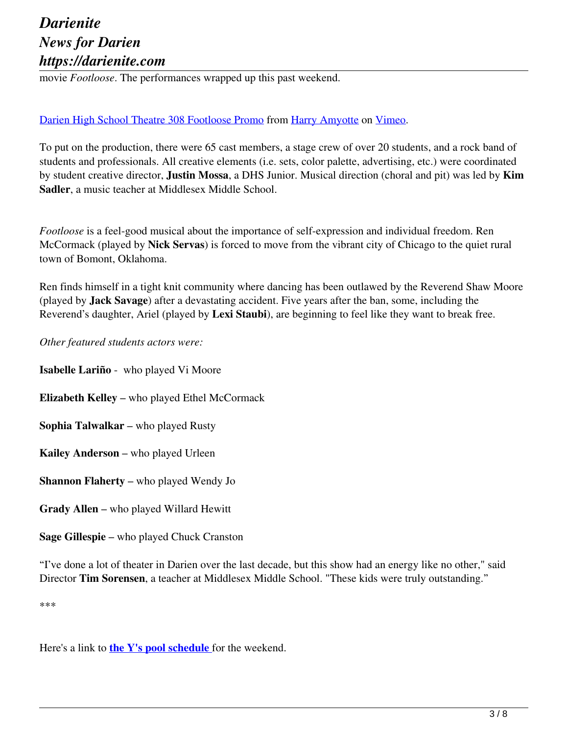## *Darienite News for Darien https://darienite.com*

movie *Footloose*. The performances wrapped up this past weekend.

### Darien High School Theatre 308 Footloose Promo from Harry Amyotte on Vimeo.

To put on the production, there were 65 cast members, a stage crew of over 20 students, and a rock band of students and professionals. All creative elements (i.e. sets, color palette, advertising, etc.) were coordinated by student creative director, **Justin Mossa**, a DHS Junior. Musical direction (choral and pit) was led by **Kim Sadler**, a music teacher at Middlesex Middle School.

*Footloose* is a feel-good musical about the importance of self-expression and individual freedom. Ren McCormack (played by **Nick Servas**) is forced to move from the vibrant city of Chicago to the quiet rural town of Bomont, Oklahoma.

Ren finds himself in a tight knit community where dancing has been outlawed by the Reverend Shaw Moore (played by **Jack Savage**) after a devastating accident. Five years after the ban, some, including the Reverend's daughter, Ariel (played by **Lexi Staubi**), are beginning to feel like they want to break free.

*Other featured students actors were:*

**Isabelle Lariño** - who played Vi Moore

**Elizabeth Kelley** – who played Ethel McCormack

**Sophia Talwalkar** – who played Rusty

**Kailey Anderson** – who played Urleen

**Shannon Flaherty** – who played Wendy Jo

**Grady Allen** – who played Willard Hewitt

**Sage Gillespie** – who played Chuck Cranston

"I've done a lot of theater in Darien over the last decade, but this show had an energy like no other," said Director **Tim Sorensen**, a teacher at Middlesex Middle School. "These kids were truly outstanding."

\*\*\*

Here's a link to **the Y's pool schedule** for the weekend.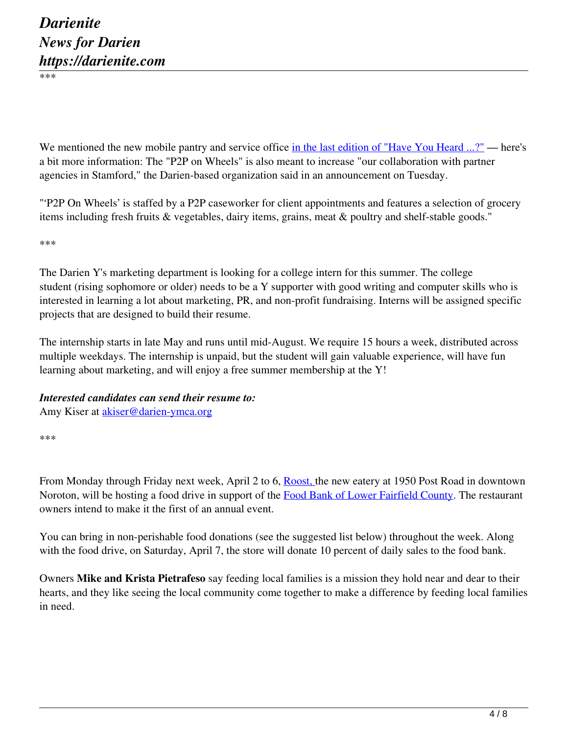\*\*\*

We mentioned the new mobile pantry and service office in the last edition of "Have You Heard ...?" — here's a bit more information: The "P2P on Wheels" is also meant to increase "our collaboration with partner agencies in Stamford," the Darien-based organization said in an announcement on Tuesday.

"'P2P On Wheels' is staffed by a P2P caseworker for client appointments and features a selection of grocery items including fresh fruits & vegetables, dairy items, grains, meat & poultry and shelf-stable goods."

\*\*\*

The Darien Y's marketing department is looking for a college intern for this summer. The college student (rising sophomore or older) needs to be a Y supporter with good writing and computer skills who is interested in learning a lot about marketing, PR, and non-profit fundraising. Interns will be assigned specific projects that are designed to build their resume.

The internship starts in late May and runs until mid-August. We require 15 hours a week, distributed across multiple weekdays. The internship is unpaid, but the student will gain valuable experience, will have fun learning about marketing, and will enjoy a free summer membership at the Y!

# *Interested candidates can send their resume to:*

Amy Kiser at akiser@darien-ymca.org

\*\*\*

From Monday through Friday next week, April 2 to 6, Roost, the new eatery at 1950 Post Road in downtown Noroton, will be hosting a food drive in support of the Food Bank of Lower Fairfield County. The restaurant owners intend to make it the first of an annual event.

You can bring in non-perishable food donations (see the suggested list below) throughout the week. Along with the food drive, on Saturday, April 7, the store will donate 10 percent of daily sales to the food bank.

Owners **Mike and Krista Pietrafeso** say feeding local families is a mission they hold near and dear to their hearts, and they like seeing the local community come together to make a difference by feeding local families in need.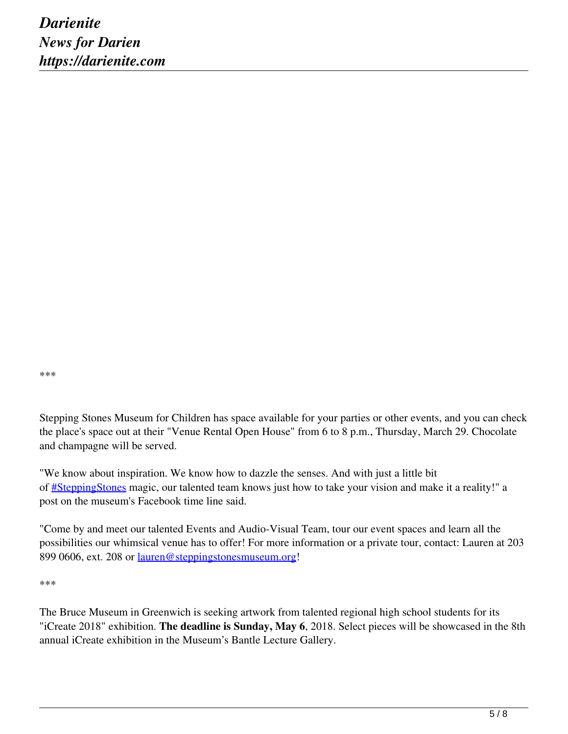\*\*\*

Stepping Stones Museum for Children has space available for your parties or other events, and you can check the place's space out at their "Venue Rental Open House" from 6 to 8 p.m., Thursday, March 29. Chocolate and champagne will be served.

"We know about inspiration. We know how to dazzle the senses. And with just a little bit of #SteppingStones magic, our talented team knows just how to take your vision and make it a reality!" a post on the museum's Facebook time line said.

"Come by and meet our talented Events and Audio-Visual Team, tour our event spaces and learn all the possibilities our whimsical venue has to offer! For more information or a private tour, contact: Lauren at 203 899 0606, ext. 208 or lauren@steppingstonesmuseum.org!

\*\*\*

The Bruce Museum in Greenwich is seeking artwork from talented regional high school students for its "iCreate 2018" exhibition. **The deadline is Sunday, May 6**, 2018. Select pieces will be showcased in the 8th annual iCreate exhibition in the Museum's Bantle Lecture Gallery.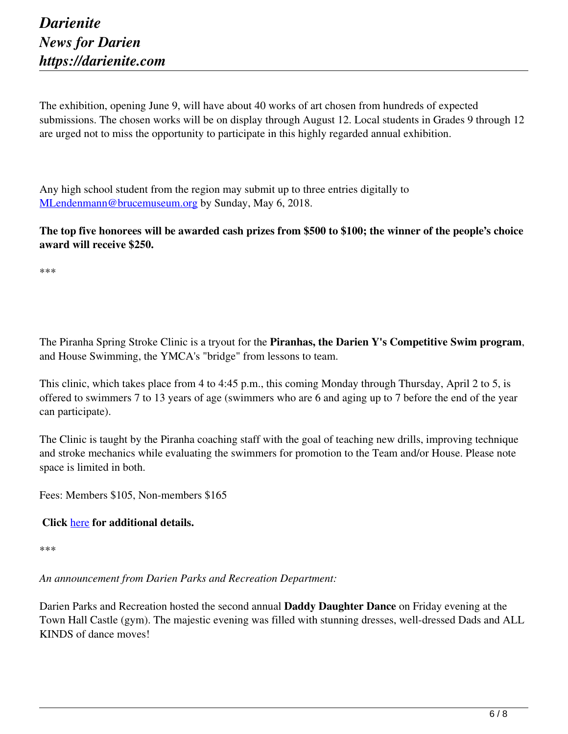The exhibition, opening June 9, will have about 40 works of art chosen from hundreds of expected submissions. The chosen works will be on display through August 12. Local students in Grades 9 through 12 are urged not to miss the opportunity to participate in this highly regarded annual exhibition.

Any high school student from the region may submit up to three entries digitally to MLendenmann@brucemuseum.org by Sunday, May 6, 2018.

**The top five honorees will be awarded cash prizes from \$500 to \$100; the winner of the people's choice award will receive \$250.**

\*\*\*

The Piranha Spring Stroke Clinic is a tryout for the **Piranhas, the Darien Y's Competitive Swim program**, and House Swimming, the YMCA's "bridge" from lessons to team.

This clinic, which takes place from 4 to 4:45 p.m., this coming Monday through Thursday, April 2 to 5, is offered to swimmers 7 to 13 years of age (swimmers who are 6 and aging up to 7 before the end of the year can participate).

The Clinic is taught by the Piranha coaching staff with the goal of teaching new drills, improving technique and stroke mechanics while evaluating the swimmers for promotion to the Team and/or House. Please note space is limited in both.

Fees: Members \$105, Non-members \$165

#### **Click** here **for additional details.**

\*\*\*

*An announcement from Darien Parks and Recreation Department:*

Darien Parks and Recreation hosted the second annual **Daddy Daughter Dance** on Friday evening at the Town Hall Castle (gym). The majestic evening was filled with stunning dresses, well-dressed Dads and ALL KINDS of dance moves!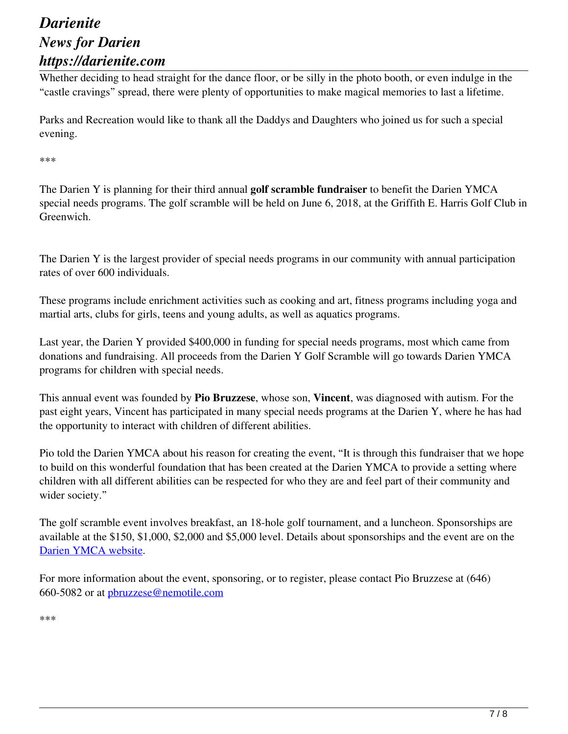### *Darienite News for Darien https://darienite.com*

Whether deciding to head straight for the dance floor, or be silly in the photo booth, or even indulge in the "castle cravings" spread, there were plenty of opportunities to make magical memories to last a lifetime.

Parks and Recreation would like to thank all the Daddys and Daughters who joined us for such a special evening.

\*\*\*

The Darien Y is planning for their third annual **golf scramble fundraiser** to benefit the Darien YMCA special needs programs. The golf scramble will be held on June 6, 2018, at the Griffith E. Harris Golf Club in Greenwich.

The Darien Y is the largest provider of special needs programs in our community with annual participation rates of over 600 individuals.

These programs include enrichment activities such as cooking and art, fitness programs including yoga and martial arts, clubs for girls, teens and young adults, as well as aquatics programs.

Last year, the Darien Y provided \$400,000 in funding for special needs programs, most which came from donations and fundraising. All proceeds from the Darien Y Golf Scramble will go towards Darien YMCA programs for children with special needs.

This annual event was founded by **Pio Bruzzese**, whose son, **Vincent**, was diagnosed with autism. For the past eight years, Vincent has participated in many special needs programs at the Darien Y, where he has had the opportunity to interact with children of different abilities.

Pio told the Darien YMCA about his reason for creating the event, "It is through this fundraiser that we hope to build on this wonderful foundation that has been created at the Darien YMCA to provide a setting where children with all different abilities can be respected for who they are and feel part of their community and wider society."

The golf scramble event involves breakfast, an 18-hole golf tournament, and a luncheon. Sponsorships are available at the \$150, \$1,000, \$2,000 and \$5,000 level. Details about sponsorships and the event are on the Darien YMCA website.

For more information about the event, sponsoring, or to register, please contact Pio Bruzzese at (646) 660-5082 or at pbruzzese@nemotile.com

\*\*\*